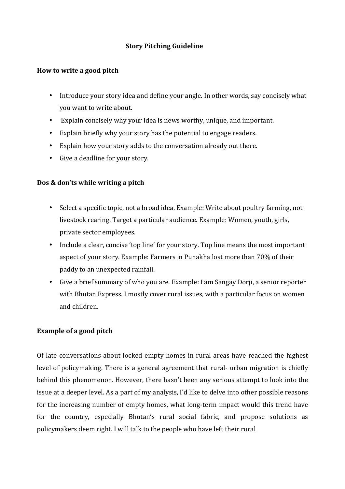## **Story Pitching Guideline**

## **How to write a good pitch**

- Introduce your story idea and define your angle. In other words, say concisely what you want to write about.
- Explain concisely why your idea is news worthy, unique, and important.
- Explain briefly why your story has the potential to engage readers.
- Explain how your story adds to the conversation already out there.
- Give a deadline for your story.

## **Dos & don'ts while writing a pitch**

- Select a specific topic, not a broad idea. Example: Write about poultry farming, not livestock rearing. Target a particular audience. Example: Women, youth, girls, private sector employees.
- Include a clear, concise 'top line' for your story. Top line means the most important aspect of your story. Example: Farmers in Punakha lost more than 70% of their paddy to an unexpected rainfall.
- Give a brief summary of who you are. Example: I am Sangay Dorji, a senior reporter with Bhutan Express. I mostly cover rural issues, with a particular focus on women and children.

## **Example of a good pitch**

Of late conversations about locked empty homes in rural areas have reached the highest level of policymaking. There is a general agreement that rural- urban migration is chiefly behind this phenomenon. However, there hasn't been any serious attempt to look into the issue at a deeper level. As a part of my analysis, I'd like to delve into other possible reasons for the increasing number of empty homes, what long-term impact would this trend have for the country, especially Bhutan's rural social fabric, and propose solutions as policymakers deem right. I will talk to the people who have left their rural